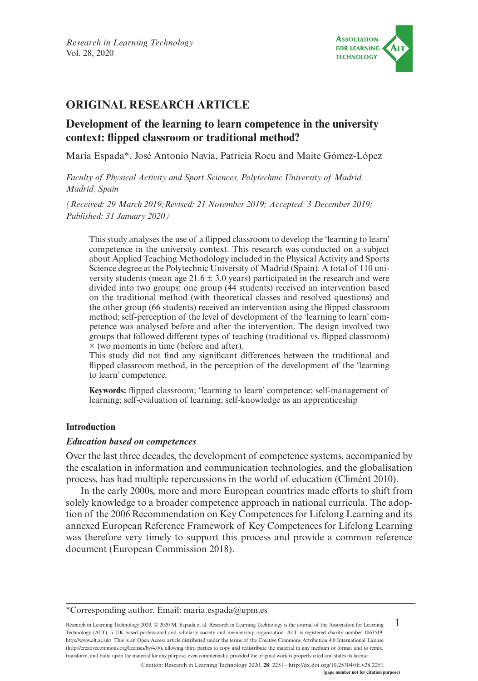

# **ORIGINAL RESEARCH ARTICLE**

# **Development of the learning to learn competence in the university context: flipped classroom or traditional method?**

María Espada\*, José Antonio Navia, Patricia Rocu and Maite Gómez-López

*Faculty of Physical Activity and Sport Sciences, Polytechnic University of Madrid, Madrid, Spain*

*(Received: 29 March 2019;Revised: 21 November 2019; Accepted: 3 December 2019; Published: 31 January 2020)*

This study analyses the use of a flipped classroom to develop the 'learning to learn' competence in the university context. This research was conducted on a subject about Applied Teaching Methodology included in the Physical Activity and Sports Science degree at the Polytechnic University of Madrid (Spain). A total of 110 university students (mean age  $21.6 \pm 3.0$  years) participated in the research and were divided into two groups: one group (44 students) received an intervention based on the traditional method (with theoretical classes and resolved questions) and the other group (66 students) received an intervention using the flipped classroom method; self-perception of the level of development of the 'learning to learn' competence was analysed before and after the intervention. The design involved two groups that followed different types of teaching (traditional vs. flipped classroom) × two moments in time (before and after).

This study did not find any significant differences between the traditional and flipped classroom method, in the perception of the development of the 'learning to learn' competence.

**Keywords:** flipped classroom; 'learning to learn' competence; self-management of learning; self-evaluation of learning; self-knowledge as an apprenticeship

# **Introduction**

# *Education based on competences*

Over the last three decades, the development of competence systems, accompanied by the escalation in information and communication technologies, and the globalisation process, has had multiple repercussions in the world of education (Climént 2010).

In the early 2000s, more and more European countries made efforts to shift from solely knowledge to a broader competence approach in national curricula. The adoption of the 2006 Recommendation on Key Competences for Lifelong Learning and its annexed European Reference Framework of Key Competences for Lifelong Learning was therefore very timely to support this process and provide a common reference document (European Commission 2018).

1 Research in Learning Technology 2020. © 2020 M. Espada et al. Research in Learning Technology is the journal of the Association for Learning Technology (ALT), a UK-based professional and scholarly society and membership organisation. ALT is registered charity number 1063519. [http://www.alt.ac.uk/.](http://www.alt.ac.uk/) This is an Open Access article distributed under the terms of the Creative Commons Attribution 4.0 International License (<http://creativecommons.org/licenses/by/4.0/>), allowing third parties to copy and redistribute the material in any medium or format and to remix, transform, and build upon the material for any purpose, even commercially, provided the original work is properly cited and states its license.

<sup>\*</sup>Corresponding author. Email: [maria.espada@upm.es](mailto:maria.espada@upm.es)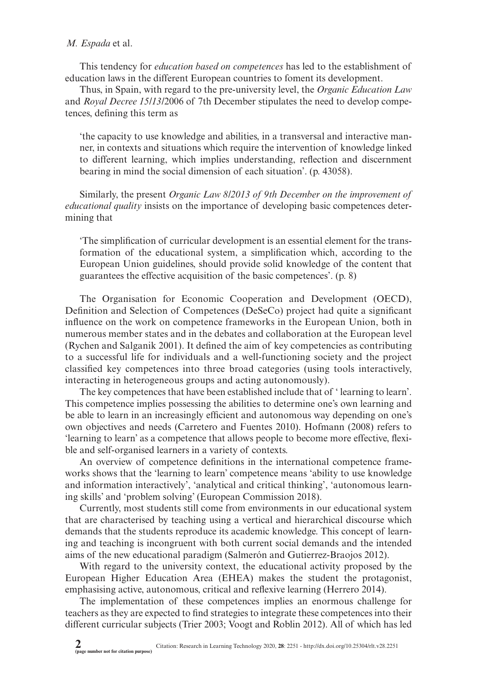# *M. Espada* et al.

This tendency for *education based on competences* has led to the establishment of education laws in the different European countries to foment its development.

Thus, in Spain, with regard to the pre-university level, the *Organic Education Law* and *Royal Decree 15/13/*2006 of 7th December stipulates the need to develop competences, defining this term as

'the capacity to use knowledge and abilities, in a transversal and interactive manner, in contexts and situations which require the intervention of knowledge linked to different learning, which implies understanding, reflection and discernment bearing in mind the social dimension of each situation'. (p. 43058).

Similarly, the present *Organic Law 8/2013 of 9th December on the improvement of educational quality* insists on the importance of developing basic competences determining that

'The simplification of curricular development is an essential element for the transformation of the educational system, a simplification which, according to the European Union guidelines, should provide solid knowledge of the content that guarantees the effective acquisition of the basic competences'. (p. 8)

The Organisation for Economic Cooperation and Development (OECD), Definition and Selection of Competences (DeSeCo) project had quite a significant influence on the work on competence frameworks in the European Union, both in numerous member states and in the debates and collaboration at the European level (Rychen and Salganik 2001). It defined the aim of key competencies as contributing to a successful life for individuals and a well-functioning society and the project classified key competences into three broad categories (using tools interactively, interacting in heterogeneous groups and acting autonomously).

The key competences that have been established include that of ' learning to learn'. This competence implies possessing the abilities to determine one's own learning and be able to learn in an increasingly efficient and autonomous way depending on one's own objectives and needs (Carretero and Fuentes 2010). Hofmann (2008) refers to 'learning to learn' as a competence that allows people to become more effective, flexible and self-organised learners in a variety of contexts.

An overview of competence definitions in the international competence frameworks shows that the 'learning to learn' competence means 'ability to use knowledge and information interactively', 'analytical and critical thinking', 'autonomous learning skills' and 'problem solving' (European Commission 2018).

Currently, most students still come from environments in our educational system that are characterised by teaching using a vertical and hierarchical discourse which demands that the students reproduce its academic knowledge. This concept of learning and teaching is incongruent with both current social demands and the intended aims of the new educational paradigm (Salmerón and Gutierrez-Braojos 2012).

With regard to the university context, the educational activity proposed by the European Higher Education Area (EHEA) makes the student the protagonist, emphasising active, autonomous, critical and reflexive learning (Herrero 2014).

The implementation of these competences implies an enormous challenge for teachers as they are expected to find strategies to integrate these competences into their different curricular subjects (Trier 2003; Voogt and Roblin 2012). All of which has led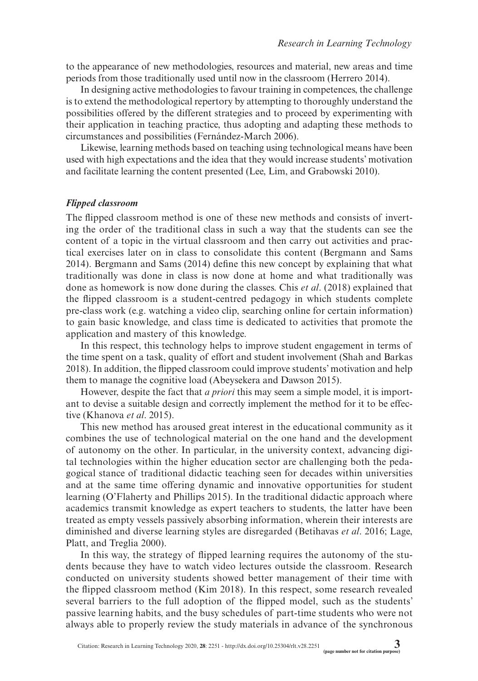to the appearance of new methodologies, resources and material, new areas and time periods from those traditionally used until now in the classroom (Herrero 2014).

In designing active methodologies to favour training in competences, the challenge is to extend the methodological repertory by attempting to thoroughly understand the possibilities offered by the different strategies and to proceed by experimenting with their application in teaching practice, thus adopting and adapting these methods to circumstances and possibilities (Fernández-March 2006).

Likewise, learning methods based on teaching using technological means have been used with high expectations and the idea that they would increase students' motivation and facilitate learning the content presented (Lee, Lim, and Grabowski 2010).

### *Flipped classroom*

The flipped classroom method is one of these new methods and consists of inverting the order of the traditional class in such a way that the students can see the content of a topic in the virtual classroom and then carry out activities and practical exercises later on in class to consolidate this content (Bergmann and Sams 2014). Bergmann and Sams (2014) define this new concept by explaining that what traditionally was done in class is now done at home and what traditionally was done as homework is now done during the classes. Chis *et al*. (2018) explained that the flipped classroom is a student-centred pedagogy in which students complete pre-class work (e.g. watching a video clip, searching online for certain information) to gain basic knowledge, and class time is dedicated to activities that promote the application and mastery of this knowledge.

In this respect, this technology helps to improve student engagement in terms of the time spent on a task, quality of effort and student involvement (Shah and Barkas 2018). In addition, the flipped classroom could improve students' motivation and help them to manage the cognitive load (Abeysekera and Dawson 2015).

However, despite the fact that *a priori* this may seem a simple model, it is important to devise a suitable design and correctly implement the method for it to be effective (Khanova *et al*. 2015).

This new method has aroused great interest in the educational community as it combines the use of technological material on the one hand and the development of autonomy on the other. In particular, in the university context, advancing digital technologies within the higher education sector are challenging both the pedagogical stance of traditional didactic teaching seen for decades within universities and at the same time offering dynamic and innovative opportunities for student learning (O'Flaherty and Phillips 2015). In the traditional didactic approach where academics transmit knowledge as expert teachers to students, the latter have been treated as empty vessels passively absorbing information, wherein their interests are diminished and diverse learning styles are disregarded (Betihavas *et al*. 2016; Lage, Platt, and Treglia 2000).

In this way, the strategy of flipped learning requires the autonomy of the students because they have to watch video lectures outside the classroom. Research conducted on university students showed better management of their time with the flipped classroom method (Kim 2018). In this respect, some research revealed several barriers to the full adoption of the flipped model, such as the students' passive learning habits, and the busy schedules of part-time students who were not always able to properly review the study materials in advance of the synchronous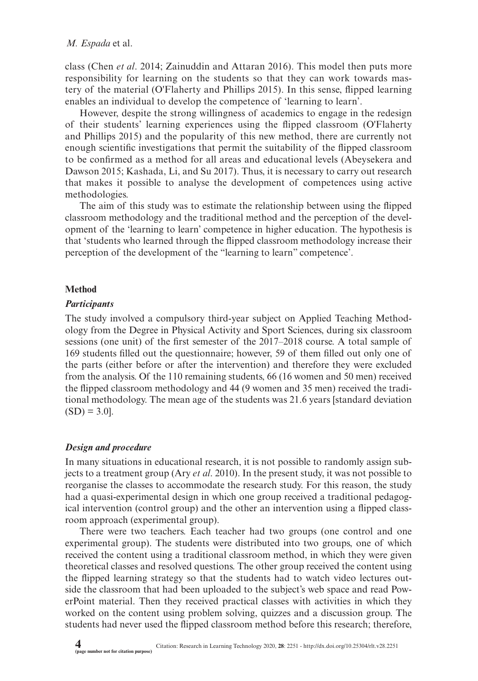class (Chen *et al*. 2014; Zainuddin and Attaran 2016). This model then puts more responsibility for learning on the students so that they can work towards mastery of the material (O'Flaherty and Phillips 2015). In this sense, flipped learning enables an individual to develop the competence of 'learning to learn'.

However, despite the strong willingness of academics to engage in the redesign of their students' learning experiences using the flipped classroom (O'Flaherty and Phillips 2015) and the popularity of this new method, there are currently not enough scientific investigations that permit the suitability of the flipped classroom to be confirmed as a method for all areas and educational levels (Abeysekera and Dawson 2015; Kashada, Li, and Su 2017). Thus, it is necessary to carry out research that makes it possible to analyse the development of competences using active methodologies.

The aim of this study was to estimate the relationship between using the flipped classroom methodology and the traditional method and the perception of the development of the 'learning to learn' competence in higher education. The hypothesis is that 'students who learned through the flipped classroom methodology increase their perception of the development of the "learning to learn" competence'.

# **Method**

# *Participants*

The study involved a compulsory third-year subject on Applied Teaching Methodology from the Degree in Physical Activity and Sport Sciences, during six classroom sessions (one unit) of the first semester of the 2017–2018 course. A total sample of 169 students filled out the questionnaire; however, 59 of them filled out only one of the parts (either before or after the intervention) and therefore they were excluded from the analysis. Of the 110 remaining students, 66 (16 women and 50 men) received the flipped classroom methodology and 44 (9 women and 35 men) received the traditional methodology. The mean age of the students was 21.6 years [standard deviation  $(SD) = 3.0$ .

# *Design and procedure*

In many situations in educational research, it is not possible to randomly assign subjects to a treatment group (Ary *et al*. 2010). In the present study, it was not possible to reorganise the classes to accommodate the research study. For this reason, the study had a quasi-experimental design in which one group received a traditional pedagogical intervention (control group) and the other an intervention using a flipped classroom approach (experimental group).

There were two teachers. Each teacher had two groups (one control and one experimental group). The students were distributed into two groups, one of which received the content using a traditional classroom method, in which they were given theoretical classes and resolved questions. The other group received the content using the flipped learning strategy so that the students had to watch video lectures outside the classroom that had been uploaded to the subject's web space and read PowerPoint material. Then they received practical classes with activities in which they worked on the content using problem solving, quizzes and a discussion group. The students had never used the flipped classroom method before this research; therefore,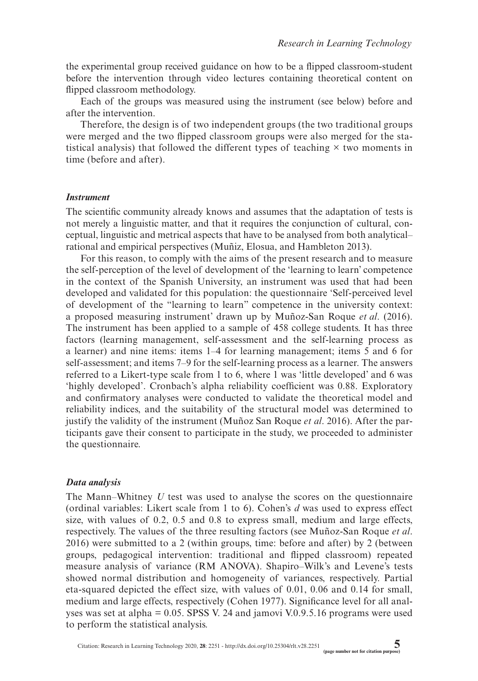the experimental group received guidance on how to be a flipped classroom-student before the intervention through video lectures containing theoretical content on flipped classroom methodology.

Each of the groups was measured using the instrument (see below) before and after the intervention.

Therefore, the design is of two independent groups (the two traditional groups were merged and the two flipped classroom groups were also merged for the statistical analysis) that followed the different types of teaching × two moments in time (before and after).

#### *Instrument*

The scientific community already knows and assumes that the adaptation of tests is not merely a linguistic matter, and that it requires the conjunction of cultural, conceptual, linguistic and metrical aspects that have to be analysed from both analytical– rational and empirical perspectives (Muñiz, Elosua, and Hambleton 2013).

For this reason, to comply with the aims of the present research and to measure the self-perception of the level of development of the 'learning to learn' competence in the context of the Spanish University, an instrument was used that had been developed and validated for this population: the questionnaire 'Self-perceived level of development of the "learning to learn" competence in the university context: a proposed measuring instrument' drawn up by Muñoz-San Roque *et al*. (2016). The instrument has been applied to a sample of 458 college students. It has three factors (learning management, self-assessment and the self-learning process as a learner) and nine items: items 1–4 for learning management; items 5 and 6 for self-assessment; and items 7–9 for the self-learning process as a learner. The answers referred to a Likert-type scale from 1 to 6, where 1 was 'little developed' and 6 was 'highly developed'. Cronbach's alpha reliability coefficient was 0.88. Exploratory and confirmatory analyses were conducted to validate the theoretical model and reliability indices, and the suitability of the structural model was determined to justify the validity of the instrument (Muñoz San Roque *et al*. 2016). After the participants gave their consent to participate in the study, we proceeded to administer the questionnaire.

### *Data analysis*

The Mann–Whitney *U* test was used to analyse the scores on the questionnaire (ordinal variables: Likert scale from 1 to 6). Cohen's *d* was used to express effect size, with values of 0.2, 0.5 and 0.8 to express small, medium and large effects, respectively. The values of the three resulting factors (see Muñoz-San Roque *et al*. 2016) were submitted to a 2 (within groups, time: before and after) by 2 (between groups, pedagogical intervention: traditional and flipped classroom) repeated measure analysis of variance (RM ANOVA). Shapiro–Wilk's and Levene's tests showed normal distribution and homogeneity of variances, respectively. Partial eta-squared depicted the effect size, with values of 0.01, 0.06 and 0.14 for small, medium and large effects, respectively (Cohen 1977). Significance level for all analyses was set at alpha = 0.05. SPSS V. 24 and jamovi V.0.9.5.16 programs were used to perform the statistical analysis.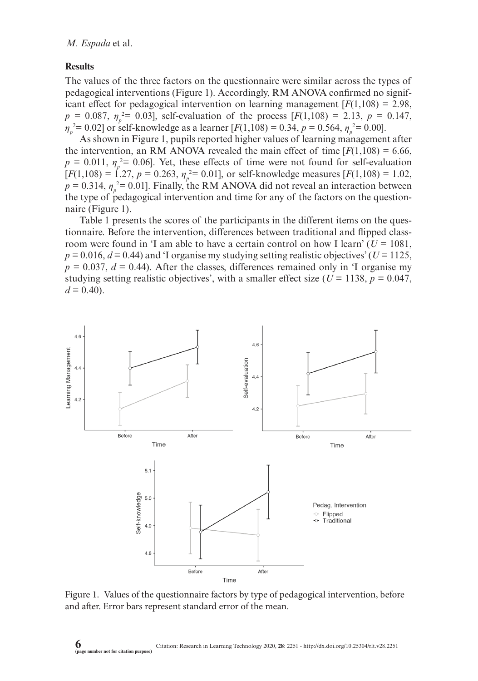# **Results**

The values of the three factors on the questionnaire were similar across the types of pedagogical interventions (Figure 1). Accordingly, RM ANOVA confirmed no significant effect for pedagogical intervention on learning management  $[F(1,108) = 2.98]$ ,  $p = 0.087$ ,  $\eta_p^2 = 0.03$ ], self-evaluation of the process [ $F(1,108) = 2.13$ ,  $p = 0.147$ , *ηp* 2 *=* 0.02] or self-knowledge as a learner [*F*(1,108) = 0.34, *p* = 0.564, *η<sup>p</sup>* 2 *=* 0.00].

As shown in Figure 1, pupils reported higher values of learning management after the intervention, an RM ANOVA revealed the main effect of time  $[F(1,108) = 6.66]$ ,  $p = 0.011$ ,  $\eta_p^2 = 0.06$ . Yet, these effects of time were not found for self-evaluation  $[F(1,108) = 1.27, p = 0.263, \eta_p^2 = 0.01]$ , or self-knowledge measures  $[F(1,108) = 1.02,$  $p = 0.314$ ,  $\eta_p^2 = 0.01$ ]. Finally, the RM ANOVA did not reveal an interaction between the type of pedagogical intervention and time for any of the factors on the questionnaire (Figure 1).

Table 1 presents the scores of the participants in the different items on the questionnaire. Before the intervention, differences between traditional and flipped classroom were found in 'I am able to have a certain control on how I learn'  $(U = 1081,$  $p = 0.016$ ,  $d = 0.44$ ) and 'I organise my studying setting realistic objectives' ( $U = 1125$ ,  $p = 0.037$ ,  $d = 0.44$ ). After the classes, differences remained only in 'I organise my studying setting realistic objectives', with a smaller effect size ( $U = 1138$ ,  $p = 0.047$ ,  $d = 0.40$ .



Figure 1. Values of the questionnaire factors by type of pedagogical intervention, before and after. Error bars represent standard error of the mean.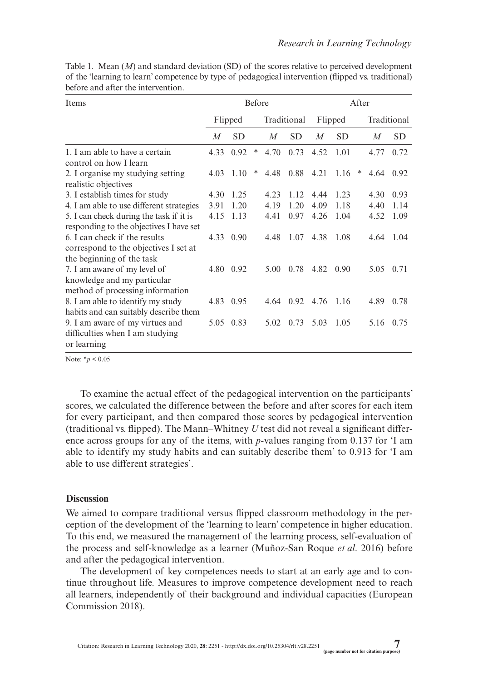| Items                                                                                                          | Before  |             |   |                  |           | After   |           |   |                  |           |
|----------------------------------------------------------------------------------------------------------------|---------|-------------|---|------------------|-----------|---------|-----------|---|------------------|-----------|
|                                                                                                                | Flipped |             |   | Traditional      |           | Flipped |           |   | Traditional      |           |
|                                                                                                                | M       | <b>SD</b>   |   | $\boldsymbol{M}$ | <b>SD</b> | M       | <b>SD</b> |   | $\boldsymbol{M}$ | <b>SD</b> |
| 1. I am able to have a certain<br>control on how I learn                                                       | 4.33    | 0.92        | ∗ | 4.70             | 0.73      | 4.52    | 1.01      |   | 4.77             | 0.72      |
| 2. I organise my studying setting<br>realistic objectives                                                      |         | $4.03$ 1.10 | ∗ | 4.48             | 0.88      | 4.21    | 1.16      | ∗ | 4.64             | 0.92      |
| 3. I establish times for study                                                                                 | 4.30    | 1.25        |   | 4.23             | 1.12.     | 4.44    | 1.23      |   | 4.30             | 0.93      |
| 4. I am able to use different strategies                                                                       | 3.91    | 1.20        |   | 4.19             | 1.20      | 4.09    | 1.18      |   | 4.40             | 1.14      |
| 5. I can check during the task if it is<br>responding to the objectives I have set                             | 4.15    | 1.13        |   | 4.41             | 0.97      | 4.26    | 1.04      |   | 4.52             | 1.09      |
| 6. I can check if the results<br>correspond to the objectives I set at                                         | 4.33    | 0.90        |   | 4.48             | 1.07      | 4.38    | 1.08      |   | 4.64             | 1.04      |
| the beginning of the task<br>7. I am aware of my level of<br>knowledge and my particular                       |         | 4.80 0.92   |   | 5.00             | 0.78      | 4.82    | 0.90      |   | 5.05             | 0.71      |
| method of processing information<br>8. I am able to identify my study<br>habits and can suitably describe them | 4.83    | 0.95        |   | 4.64             | 0.92      | 4.76    | 1.16      |   | 4.89             | 0.78      |
| 9. I am aware of my virtues and<br>difficulties when I am studying<br>or learning                              |         | 5.05 0.83   |   | 5.02             | 0.73      | 5.03    | 1.05      |   | 5.16             | 0.75      |

Table 1. Mean (*M*) and standard deviation (SD) of the scores relative to perceived development of the 'learning to learn' competence by type of pedagogical intervention (flipped vs. traditional) before and after the intervention.

Note: \**p* < 0.05

To examine the actual effect of the pedagogical intervention on the participants' scores, we calculated the difference between the before and after scores for each item for every participant, and then compared those scores by pedagogical intervention (traditional vs. flipped). The Mann–Whitney *U* test did not reveal a significant difference across groups for any of the items, with *p*-values ranging from 0.137 for 'I am able to identify my study habits and can suitably describe them' to 0.913 for 'I am able to use different strategies'.

# **Discussion**

We aimed to compare traditional versus flipped classroom methodology in the perception of the development of the 'learning to learn' competence in higher education. To this end, we measured the management of the learning process, self-evaluation of the process and self-knowledge as a learner (Muñoz-San Roque *et al*. 2016) before and after the pedagogical intervention.

The development of key competences needs to start at an early age and to continue throughout life. Measures to improve competence development need to reach all learners, independently of their background and individual capacities (European Commission 2018).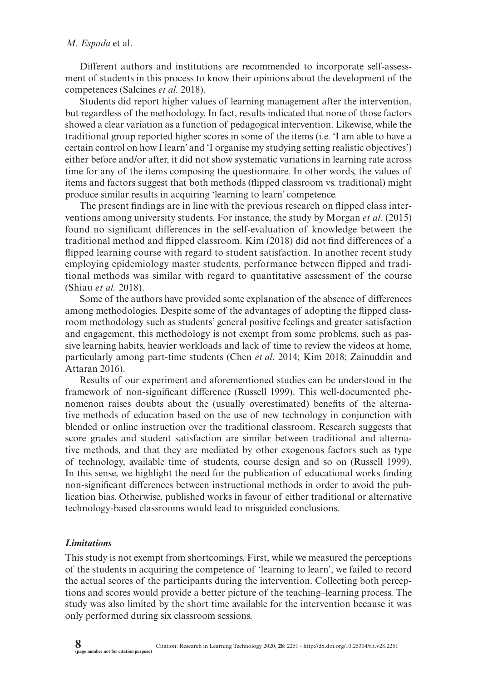### *M. Espada* et al.

Different authors and institutions are recommended to incorporate self-assessment of students in this process to know their opinions about the development of the competences (Salcines *et al.* 2018).

Students did report higher values of learning management after the intervention, but regardless of the methodology. In fact, results indicated that none of those factors showed a clear variation as a function of pedagogical intervention. Likewise, while the traditional group reported higher scores in some of the items (i.e. 'I am able to have a certain control on how I learn' and 'I organise my studying setting realistic objectives') either before and/or after, it did not show systematic variations in learning rate across time for any of the items composing the questionnaire. In other words, the values of items and factors suggest that both methods (flipped classroom vs. traditional) might produce similar results in acquiring 'learning to learn' competence.

The present findings are in line with the previous research on flipped class interventions among university students. For instance, the study by Morgan *et al*. (2015) found no significant differences in the self-evaluation of knowledge between the traditional method and flipped classroom. Kim (2018) did not find differences of a flipped learning course with regard to student satisfaction. In another recent study employing epidemiology master students, performance between flipped and traditional methods was similar with regard to quantitative assessment of the course (Shiau *et al.* 2018).

Some of the authors have provided some explanation of the absence of differences among methodologies. Despite some of the advantages of adopting the flipped classroom methodology such as students' general positive feelings and greater satisfaction and engagement, this methodology is not exempt from some problems, such as passive learning habits, heavier workloads and lack of time to review the videos at home, particularly among part-time students (Chen *et al*. 2014; Kim 2018; Zainuddin and Attaran 2016).

Results of our experiment and aforementioned studies can be understood in the framework of non-significant difference (Russell 1999). This well-documented phenomenon raises doubts about the (usually overestimated) benefits of the alternative methods of education based on the use of new technology in conjunction with blended or online instruction over the traditional classroom. Research suggests that score grades and student satisfaction are similar between traditional and alternative methods, and that they are mediated by other exogenous factors such as type of technology, available time of students, course design and so on (Russell 1999). In this sense, we highlight the need for the publication of educational works finding non-significant differences between instructional methods in order to avoid the publication bias. Otherwise, published works in favour of either traditional or alternative technology-based classrooms would lead to misguided conclusions.

### *Limitations*

This study is not exempt from shortcomings. First, while we measured the perceptions of the students in acquiring the competence of 'learning to learn', we failed to record the actual scores of the participants during the intervention. Collecting both perceptions and scores would provide a better picture of the teaching–learning process. The study was also limited by the short time available for the intervention because it was only performed during six classroom sessions.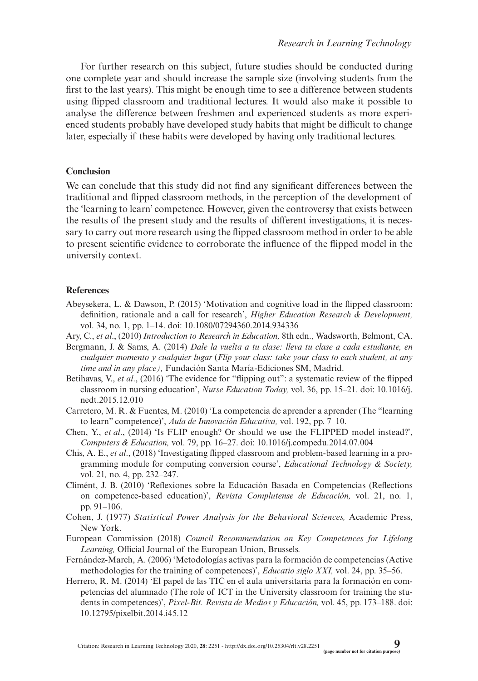For further research on this subject, future studies should be conducted during one complete year and should increase the sample size (involving students from the first to the last years). This might be enough time to see a difference between students using flipped classroom and traditional lectures. It would also make it possible to analyse the difference between freshmen and experienced students as more experienced students probably have developed study habits that might be difficult to change later, especially if these habits were developed by having only traditional lectures.

# **Conclusion**

We can conclude that this study did not find any significant differences between the traditional and flipped classroom methods, in the perception of the development of the 'learning to learn' competence. However, given the controversy that exists between the results of the present study and the results of different investigations, it is necessary to carry out more research using the flipped classroom method in order to be able to present scientific evidence to corroborate the influence of the flipped model in the university context.

# **References**

- Abeysekera, L. & Dawson, P. (2015) 'Motivation and cognitive load in the flipped classroom: definition, rationale and a call for research', *Higher Education Research & Development,* vol. 34, no. 1, pp. 1–14. doi: [10.1080/07294360.2014.934336](http://dx.doi.org/10.1080/07294360.2014.934336)
- Ary, C., *et al*., (2010) *Introduction to Research in Education,* 8th edn., Wadsworth, Belmont, CA.
- Bergmann, J. & Sams, A. (2014) *Dale la vuelta a tu clase: lleva tu clase a cada estudiante, en cualquier momento y cualquier lugar* (*Flip your class: take your class to each student, at any time and in any place),* Fundación Santa María-Ediciones SM, Madrid.
- Betihavas, V., *et al*., (2016) 'The evidence for "flipping out": a systematic review of the flipped classroom in nursing education', *Nurse Education Today,* vol. 36, pp. 15–21. doi: [10.1016/j.](http://dx.doi.org/10.1016/j.nedt.2015.12.010) [nedt.2015.12.010](http://dx.doi.org/10.1016/j.nedt.2015.12.010)
- Carretero, M. R. & Fuentes, M. (2010) 'La competencia de aprender a aprender (The "learning to learn" competence)', *Aula de Innovación Educativa,* vol. 192, pp. 7–10.
- Chen, Y., *et al*., (2014) 'Is FLIP enough? Or should we use the FLIPPED model instead?', *Computers & Education,* vol. 79, pp. 16–27. doi: [10.1016/j.compedu.2014.07.004](http://dx.doi.org/10.1016/j.compedu.2014.07.004)
- Chis, A. E., *et al*., (2018) 'Investigating flipped classroom and problem-based learning in a programming module for computing conversion course', *Educational Technology & Society,* vol. 21*,* no. 4, pp. 232–247.
- Climént, J. B. (2010) 'Reflexiones sobre la Educación Basada en Competencias (Reflections on competence-based education)', *Revista Complutense de Educación,* vol. 21, no. 1, pp. 91–106.
- Cohen, J. (1977) *Statistical Power Analysis for the Behavioral Sciences,* Academic Press, New York.
- European Commission (2018) *Council Recommendation on Key Competences for Lifelong Learning,* Official Journal of the European Union, Brussels.
- Fernández-March, A. (2006) 'Metodologías activas para la formación de competencias (Active methodologies for the training of competences)', *Educatio siglo XXI,* vol. 24, pp. 35–56.
- Herrero, R. M. (2014) 'El papel de las TIC en el aula universitaria para la formación en competencias del alumnado (The role of ICT in the University classroom for training the students in competences)', *Pixel-Bit. Revista de Medios y Educación,* vol. 45, pp. 173–188. doi: [10.12795/pixelbit.2014.i45.12](http://dx.doi.org/10.12795/pixelbit.2014.i45.12)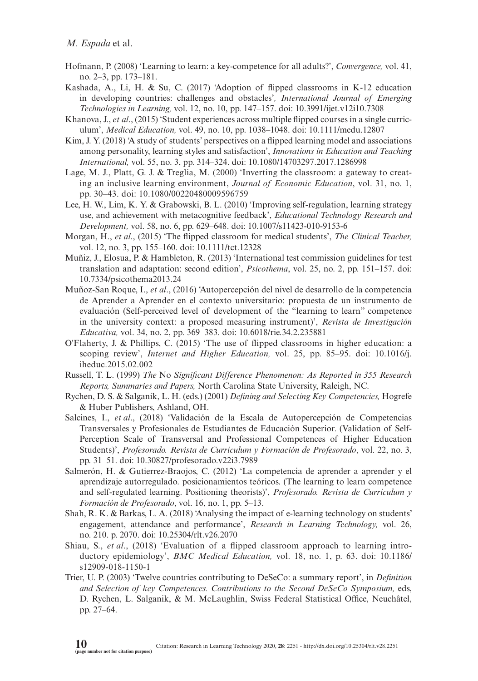### *M. Espada* et al.

- Hofmann, P. (2008) 'Learning to learn: a key-competence for all adults?', *Convergence,* vol. 41, no. 2–3, pp. 173–181.
- Kashada, A., Li, H. & Su, C. (2017) 'Adoption of flipped classrooms in K-12 education in developing countries: challenges and obstacles'*, International Journal of Emerging Technologies in Learning,* vol. 12, no. 10, pp. 147–157. doi: [10.3991/ijet.v12i10.7308](http://dx.doi.org/10.3991/ijet.v12i10.7308)
- Khanova, J., *et al*., (2015) 'Student experiences across multiple flipped courses in a single curriculum', *Medical Education,* vol. 49, no. 10, pp. 1038–1048. doi: [10.1111/medu.12807](http://dx.doi.org/10.1111/medu.12807)
- Kim, J. Y. (2018) 'A study of students' perspectives on a flipped learning model and associations among personality, learning styles and satisfaction', *Innovations in Education and Teaching International,* vol. 55, no. 3, pp. 314–324. doi: [10.1080/14703297.2017.1286998](http://dx.doi.org/10.1080/14703297.2017.1286998)
- Lage, M. J., Platt, G. J. & Treglia, M. (2000) 'Inverting the classroom: a gateway to creating an inclusive learning environment, *Journal of Economic Education*, vol. 31, no. 1, pp. 30–43. doi: [10.1080/00220480009596759](http://dx.doi.org/10.1080/00220480009596759)
- Lee, H. W., Lim, K. Y. & Grabowski, B. L. (2010) 'Improving self-regulation, learning strategy use, and achievement with metacognitive feedback', *Educational Technology Research and Development,* vol. 58, no. 6, pp. 629–648. doi: [10.1007/s11423-010-9153-6](http://dx.doi.org/10.1007/s11423-010-9153-6)
- Morgan, H., *et al*., (2015) 'The flipped classroom for medical students', *The Clinical Teacher,* vol. 12, no. 3, pp. 155–160. doi: [10.1111/tct.12328](http://dx.doi.org/10.1111/tct.12328)
- Muñiz, J., Elosua, P. & Hambleton, R. (2013) 'International test commission guidelines for test translation and adaptation: second edition', *Psicothema*, vol. 25, no. 2, pp. 151–157. doi: [10.7334/psicothema2013.24](http://dx.doi.org/10.7334/psicothema2013.24)
- Muñoz-San Roque, I., *et al*., (2016) 'Autopercepción del nivel de desarrollo de la competencia de Aprender a Aprender en el contexto universitario: propuesta de un instrumento de evaluación (Self-perceived level of development of the "learning to learn" competence in the university context: a proposed measuring instrument)', *Revista de Investigación Educativa,* vol. 34, no. 2, pp. 369–383. doi: [10.6018/rie.34.2.235881](http://dx.doi.org/10.6018/rie.34.2.235881)
- O'Flaherty, J. & Phillips, C. (2015) 'The use of flipped classrooms in higher education: a scoping review', *Internet and Higher Education,* vol. 25, pp. 85–95. doi: [10.1016/j.](http://dx.doi.org/10.1016/j.iheduc.2015.02.002) [iheduc.2015.02.002](http://dx.doi.org/10.1016/j.iheduc.2015.02.002)
- Russell, T. L. (1999) *The* No *Significant Difference Phenomenon: As Reported in 355 Research Reports, Summaries and Papers,* North Carolina State University, Raleigh, NC.
- Rychen, D. S. & Salganik, L. H. (eds.) (2001) *Defining and Selecting Key Competencies,* Hogrefe & Huber Publishers, Ashland, OH.
- Salcines, I., *et al*., (2018) 'Validación de la Escala de Autopercepción de Competencias Transversales y Profesionales de Estudiantes de Educación Superior. (Validation of Self-Perception Scale of Transversal and Professional Competences of Higher Education Students)', *Profesorado. Revista de Currículum y Formación de Profesorado*, vol. 22, no. 3, pp. 31–51. doi: [10.30827/profesorado.v22i3.7989](http://dx.doi.org/10.30827/profesorado.v22i3.7989)
- Salmerón, H. & Gutierrez-Braojos, C. (2012) 'La competencia de aprender a aprender y el aprendizaje autorregulado. posicionamientos teóricos. (The learning to learn competence and self-regulated learning. Positioning theorists)', *Profesorado. Revista de Currículum y Formación de Profesorado*, vol. 16, no. 1, pp. 5–13.
- Shah, R. K. & Barkas, L. A. (2018) 'Analysing the impact of e-learning technology on students' engagement, attendance and performance', *Research in Learning Technology,* vol. 26, no. 210. p. 2070. doi: [10.25304/rlt.v26.2070](http://dx.doi.org/10.25304/rlt.v26.2070)
- Shiau, S., *et al*., (2018) 'Evaluation of a flipped classroom approach to learning introductory epidemiology', *BMC Medical Education,* vol. 18, no. 1, p. 63. doi: [10.1186/](http://dx.doi.org/10.1186/s12909-018-1150-1) [s12909-018-1150-1](http://dx.doi.org/10.1186/s12909-018-1150-1)
- Trier, U. P. (2003) 'Twelve countries contributing to DeSeCo: a summary report', in *Definition and Selection of key Competences. Contributions to the Second DeSeCo Symposium,* eds, D. Rychen, L. Salganik, & M. McLaughlin, Swiss Federal Statistical Office, Neuchâtel, pp. 27–64.